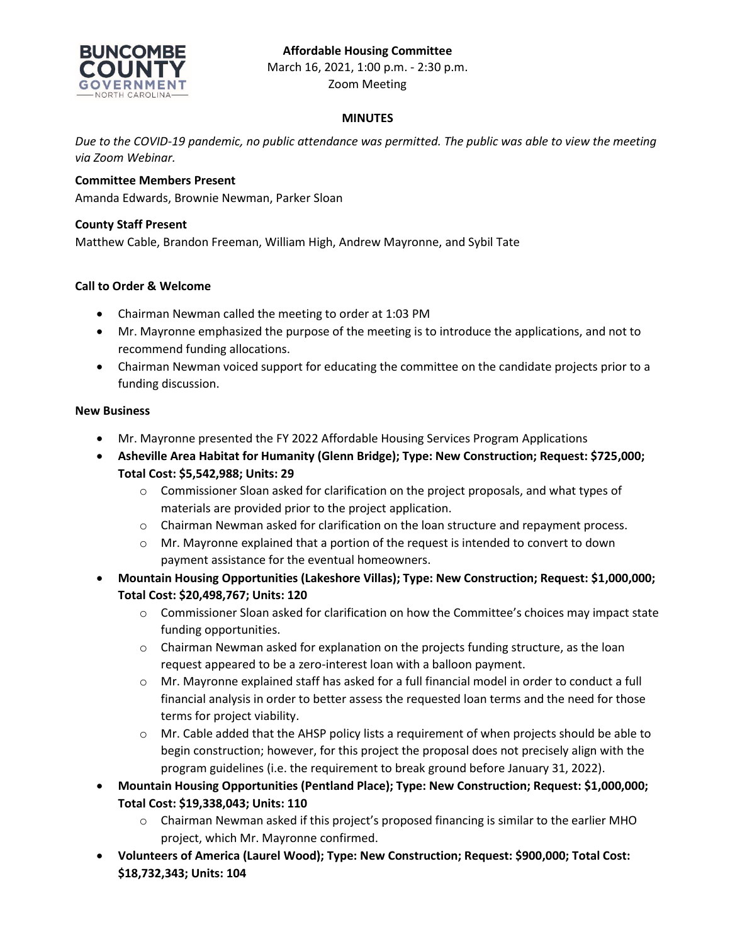# **Affordable Housing Committee**



March 16, 2021, 1:00 p.m. - 2:30 p.m. Zoom Meeting

## **MINUTES**

*Due to the COVID-19 pandemic, no public attendance was permitted. The public was able to view the meeting via Zoom Webinar.*

### **Committee Members Present**

Amanda Edwards, Brownie Newman, Parker Sloan

#### **County Staff Present**

Matthew Cable, Brandon Freeman, William High, Andrew Mayronne, and Sybil Tate

## **Call to Order & Welcome**

- Chairman Newman called the meeting to order at 1:03 PM
- Mr. Mayronne emphasized the purpose of the meeting is to introduce the applications, and not to recommend funding allocations.
- Chairman Newman voiced support for educating the committee on the candidate projects prior to a funding discussion.

#### **New Business**

- Mr. Mayronne presented the FY 2022 Affordable Housing Services Program Applications
- **Asheville Area Habitat for Humanity (Glenn Bridge); Type: New Construction; Request: \$725,000; Total Cost: \$5,542,988; Units: 29**
	- $\circ$  Commissioner Sloan asked for clarification on the project proposals, and what types of materials are provided prior to the project application.
	- o Chairman Newman asked for clarification on the loan structure and repayment process.
	- o Mr. Mayronne explained that a portion of the request is intended to convert to down payment assistance for the eventual homeowners.
- **Mountain Housing Opportunities (Lakeshore Villas); Type: New Construction; Request: \$1,000,000; Total Cost: \$20,498,767; Units: 120**
	- o Commissioner Sloan asked for clarification on how the Committee's choices may impact state funding opportunities.
	- $\circ$  Chairman Newman asked for explanation on the projects funding structure, as the loan request appeared to be a zero-interest loan with a balloon payment.
	- o Mr. Mayronne explained staff has asked for a full financial model in order to conduct a full financial analysis in order to better assess the requested loan terms and the need for those terms for project viability.
	- $\circ$  Mr. Cable added that the AHSP policy lists a requirement of when projects should be able to begin construction; however, for this project the proposal does not precisely align with the program guidelines (i.e. the requirement to break ground before January 31, 2022).
- **Mountain Housing Opportunities (Pentland Place); Type: New Construction; Request: \$1,000,000; Total Cost: \$19,338,043; Units: 110**
	- $\circ$  Chairman Newman asked if this project's proposed financing is similar to the earlier MHO project, which Mr. Mayronne confirmed.
- **Volunteers of America (Laurel Wood); Type: New Construction; Request: \$900,000; Total Cost: \$18,732,343; Units: 104**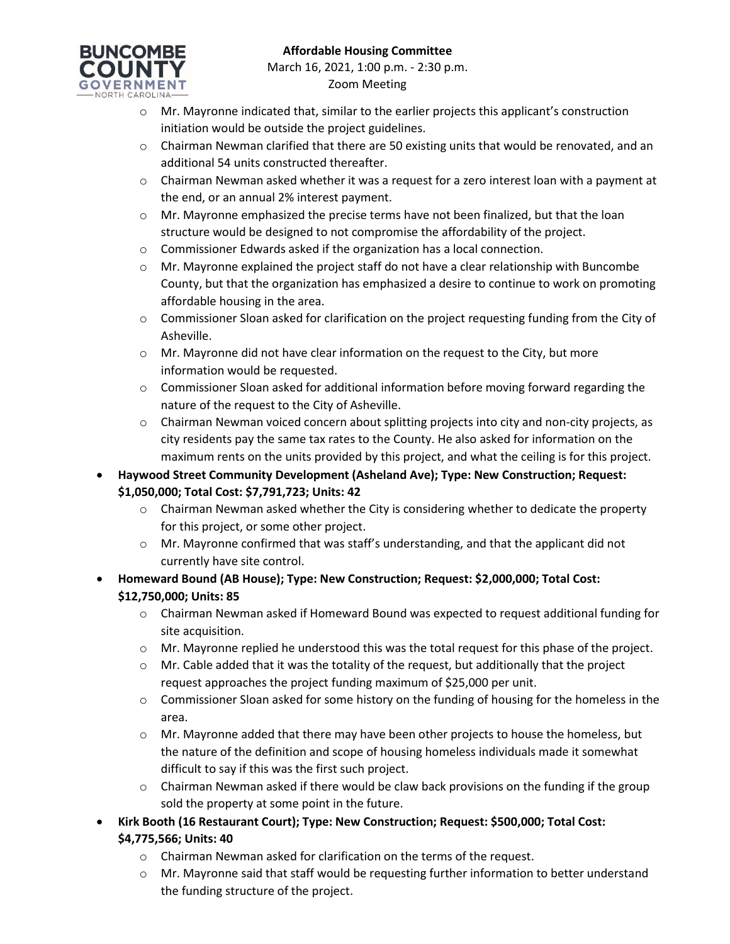

- o Mr. Mayronne indicated that, similar to the earlier projects this applicant's construction initiation would be outside the project guidelines.
- $\circ$  Chairman Newman clarified that there are 50 existing units that would be renovated, and an additional 54 units constructed thereafter.
- $\circ$  Chairman Newman asked whether it was a request for a zero interest loan with a payment at the end, or an annual 2% interest payment.
- $\circ$  Mr. Mayronne emphasized the precise terms have not been finalized, but that the loan structure would be designed to not compromise the affordability of the project.
- o Commissioner Edwards asked if the organization has a local connection.
- $\circ$  Mr. Mayronne explained the project staff do not have a clear relationship with Buncombe County, but that the organization has emphasized a desire to continue to work on promoting affordable housing in the area.
- o Commissioner Sloan asked for clarification on the project requesting funding from the City of Asheville.
- o Mr. Mayronne did not have clear information on the request to the City, but more information would be requested.
- $\circ$  Commissioner Sloan asked for additional information before moving forward regarding the nature of the request to the City of Asheville.
- o Chairman Newman voiced concern about splitting projects into city and non-city projects, as city residents pay the same tax rates to the County. He also asked for information on the maximum rents on the units provided by this project, and what the ceiling is for this project.
- **Haywood Street Community Development (Asheland Ave); Type: New Construction; Request: \$1,050,000; Total Cost: \$7,791,723; Units: 42**
	- $\circ$  Chairman Newman asked whether the City is considering whether to dedicate the property for this project, or some other project.
	- $\circ$  Mr. Mayronne confirmed that was staff's understanding, and that the applicant did not currently have site control.
- **Homeward Bound (AB House); Type: New Construction; Request: \$2,000,000; Total Cost: \$12,750,000; Units: 85**
	- $\circ$  Chairman Newman asked if Homeward Bound was expected to request additional funding for site acquisition.
	- o Mr. Mayronne replied he understood this was the total request for this phase of the project.
	- $\circ$  Mr. Cable added that it was the totality of the request, but additionally that the project request approaches the project funding maximum of \$25,000 per unit.
	- $\circ$  Commissioner Sloan asked for some history on the funding of housing for the homeless in the area.
	- $\circ$  Mr. Mayronne added that there may have been other projects to house the homeless, but the nature of the definition and scope of housing homeless individuals made it somewhat difficult to say if this was the first such project.
	- $\circ$  Chairman Newman asked if there would be claw back provisions on the funding if the group sold the property at some point in the future.
- **Kirk Booth (16 Restaurant Court); Type: New Construction; Request: \$500,000; Total Cost: \$4,775,566; Units: 40**
	- o Chairman Newman asked for clarification on the terms of the request.
	- $\circ$  Mr. Mayronne said that staff would be requesting further information to better understand the funding structure of the project.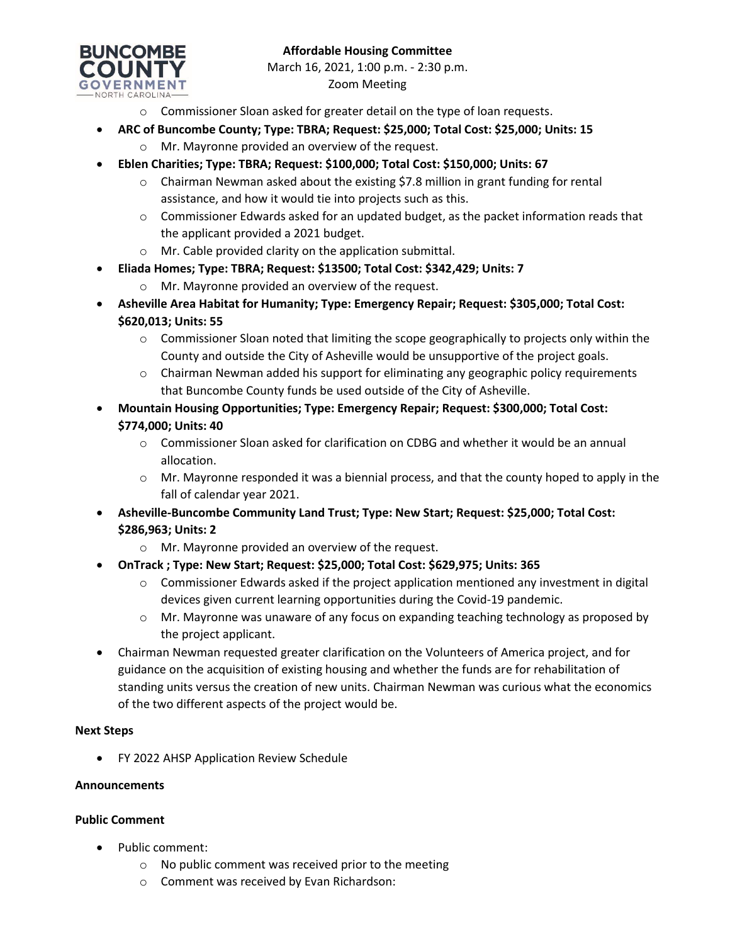

- o Commissioner Sloan asked for greater detail on the type of loan requests.
- **ARC of Buncombe County; Type: TBRA; Request: \$25,000; Total Cost: \$25,000; Units: 15**
	- o Mr. Mayronne provided an overview of the request.
- **Eblen Charities; Type: TBRA; Request: \$100,000; Total Cost: \$150,000; Units: 67**
	- $\circ$  Chairman Newman asked about the existing \$7.8 million in grant funding for rental assistance, and how it would tie into projects such as this.
	- $\circ$  Commissioner Edwards asked for an updated budget, as the packet information reads that the applicant provided a 2021 budget.
	- o Mr. Cable provided clarity on the application submittal.
- **Eliada Homes; Type: TBRA; Request: \$13500; Total Cost: \$342,429; Units: 7**
	- o Mr. Mayronne provided an overview of the request.
- **Asheville Area Habitat for Humanity; Type: Emergency Repair; Request: \$305,000; Total Cost: \$620,013; Units: 55**
	- $\circ$  Commissioner Sloan noted that limiting the scope geographically to projects only within the County and outside the City of Asheville would be unsupportive of the project goals.
	- $\circ$  Chairman Newman added his support for eliminating any geographic policy requirements that Buncombe County funds be used outside of the City of Asheville.
- **Mountain Housing Opportunities; Type: Emergency Repair; Request: \$300,000; Total Cost: \$774,000; Units: 40**
	- $\circ$  Commissioner Sloan asked for clarification on CDBG and whether it would be an annual allocation.
	- $\circ$  Mr. Mayronne responded it was a biennial process, and that the county hoped to apply in the fall of calendar year 2021.
- **Asheville-Buncombe Community Land Trust; Type: New Start; Request: \$25,000; Total Cost: \$286,963; Units: 2**
	- o Mr. Mayronne provided an overview of the request.
- **OnTrack ; Type: New Start; Request: \$25,000; Total Cost: \$629,975; Units: 365**
	- $\circ$  Commissioner Edwards asked if the project application mentioned any investment in digital devices given current learning opportunities during the Covid-19 pandemic.
	- o Mr. Mayronne was unaware of any focus on expanding teaching technology as proposed by the project applicant.
- Chairman Newman requested greater clarification on the Volunteers of America project, and for guidance on the acquisition of existing housing and whether the funds are for rehabilitation of standing units versus the creation of new units. Chairman Newman was curious what the economics of the two different aspects of the project would be.

#### **Next Steps**

FY 2022 AHSP Application Review Schedule

#### **Announcements**

#### **Public Comment**

- Public comment:
	- o No public comment was received prior to the meeting
	- o Comment was received by Evan Richardson: